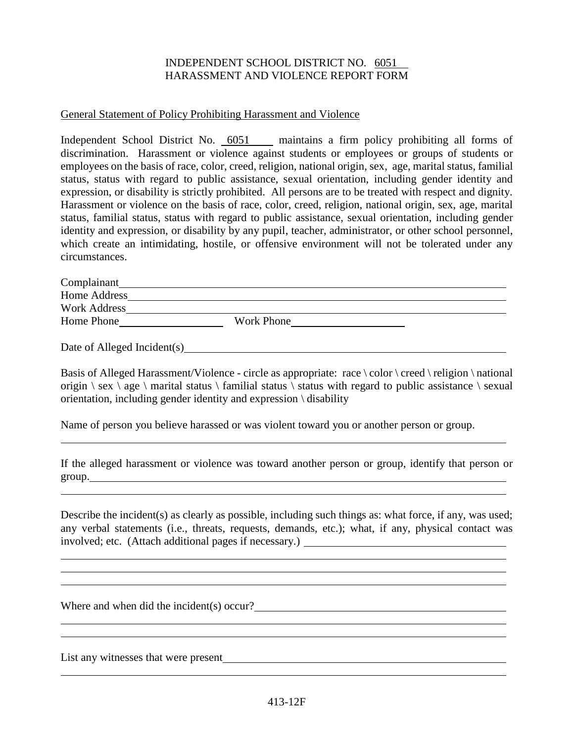## INDEPENDENT SCHOOL DISTRICT NO. 6051 HARASSMENT AND VIOLENCE REPORT FORM

## General Statement of Policy Prohibiting Harassment and Violence

Independent School District No. 6051 maintains a firm policy prohibiting all forms of discrimination. Harassment or violence against students or employees or groups of students or employees on the basis of race, color, creed, religion, national origin, sex, age, marital status, familial status, status with regard to public assistance, sexual orientation, including gender identity and expression, or disability is strictly prohibited. All persons are to be treated with respect and dignity. Harassment or violence on the basis of race, color, creed, religion, national origin, sex, age, marital status, familial status, status with regard to public assistance, sexual orientation, including gender identity and expression, or disability by any pupil, teacher, administrator, or other school personnel, which create an intimidating, hostile, or offensive environment will not be tolerated under any circumstances.

| Complainant  |            |
|--------------|------------|
| Home Address |            |
| Work Address |            |
| Home Phone   | Work Phone |
|              |            |

Date of Alleged Incident(s) example of  $\triangle$ 

Basis of Alleged Harassment/Violence - circle as appropriate: race  $\cdot$  color  $\cdot$  creed  $\cdot$  religion  $\cdot$  national origin  $\$ sex  $\angle$  age  $\angle$  marital status  $\angle$  familial status  $\angle$  status with regard to public assistance  $\angle$  sexual orientation, including gender identity and expression \ disability

Name of person you believe harassed or was violent toward you or another person or group.

If the alleged harassment or violence was toward another person or group, identify that person or group.<br>
<u>group</u>.

Describe the incident(s) as clearly as possible, including such things as: what force, if any, was used; any verbal statements (i.e., threats, requests, demands, etc.); what, if any, physical contact was involved; etc. (Attach additional pages if necessary.)

Where and when did the incident(s) occur?

List any witnesses that were present